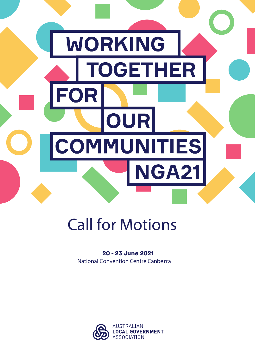

# Call for Motions

### National Convention Centre Canberra 20 - 23 June 2021

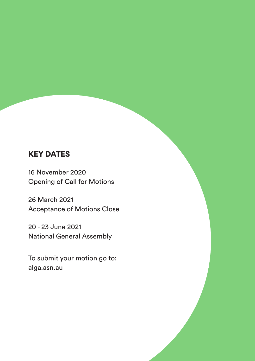# KEY DATES

16 November 2020 Opening of Call for Motions

26 March 2021 Acceptance of Motions Close

20 - 23 June 2021 National General Assembly

To submit your motion go to: alga.asn.au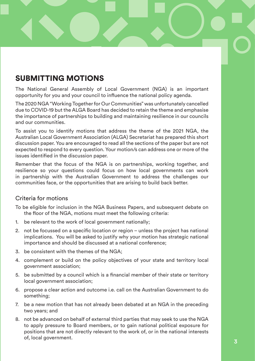# SUBMITTING MOTIONS

The National General Assembly of Local Government (NGA) is an important opportunity for you and your council to influence the national policy agenda.

The 2020 NGA "Working Together for Our Communities" was unfortunately cancelled due to COVID-19 but the ALGA Board has decided to retain the theme and emphasise the importance of partnerships to building and maintaining resilience in our councils and our communities.

To assist you to identify motions that address the theme of the 2021 NGA, the Australian Local Government Association (ALGA) Secretariat has prepared this short discussion paper. You are encouraged to read all the sections of the paper but are not expected to respond to every question. Your motion/s can address one or more of the issues identified in the discussion paper.

Remember that the focus of the NGA is on partnerships, working together, and resilience so your questions could focus on how local governments can work in partnership with the Australian Government to address the challenges our communities face, or the opportunities that are arising to build back better.

### Criteria for motions

- To be eligible for inclusion in the NGA Business Papers, and subsequent debate on the floor of the NGA, motions must meet the following criteria:
- 1. be relevant to the work of local government nationally;
- 2. not be focussed on a specific location or region unless the project has national implications. You will be asked to justify why your motion has strategic national importance and should be discussed at a national conference;
- 3. be consistent with the themes of the NGA;
- 4. complement or build on the policy objectives of your state and territory local government association;
- 5. be submitted by a council which is a financial member of their state or territory local government association;
- 6. propose a clear action and outcome i.e. call on the Australian Government to do something;
- 7. be a new motion that has not already been debated at an NGA in the preceding two years; and
- 8. not be advanced on behalf of external third parties that may seek to use the NGA to apply pressure to Board members, or to gain national political exposure for positions that are not directly relevant to the work of, or in the national interests of, local government.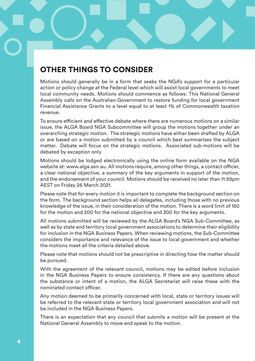# OTHER THINGS TO CONSIDER

Motions should generally be in a form that seeks the NGA's support for a particular action or policy change at the Federal level which will assist local governments to meet local community needs. Motions should commence as follows: This National General Assembly calls on the Australian Government to restore funding for local government Financial Assistance Grants to a level equal to at least 1% of Commonwealth taxation revenue.

To ensure efficient and effective debate where there are numerous motions on a similar issue, the ALGA Board NGA Subcommittee will group the motions together under an overarching strategic motion. The strategic motions have either been drafted by ALGA or are based on a motion submitted by a council which best summarises the subject matter. Debate will focus on the strategic motions. Associated sub-motions will be debated by exception only.

Motions should be lodged electronically using the online form available on the NGA website at: www.alga.asn.au. All motions require, among other things, a contact officer, a clear national objective, a summary of the key arguments in support of the motion, and the endorsement of your council. Motions should be received no later than 11:59pm AEST on Friday 26 March 2021.

Please note that for every motion it is important to complete the background section on the form. The background section helps all delegates, including those with no previous knowledge of the issue, in their consideration of the motion. There is a word limit of 150 for the motion and 200 for the national objective and 300 for the key arguments.

All motions submitted will be reviewed by the ALGA Board's NGA Sub-Committee, as well as by state and territory local government associations to determine their eligibility for inclusion in the NGA Business Papers. When reviewing motions, the Sub-Committee considers the importance and relevance of the issue to local government and whether the motions meet all the criteria detailed above.

Please note that motions should not be prescriptive in directing how the matter should be pursued.

With the agreement of the relevant council, motions may be edited before inclusion in the NGA Business Papers to ensure consistency. If there are any questions about the substance or intent of a motion, the ALGA Secretariat will raise these with the nominated contact officer.

Any motion deemed to be primarily concerned with local, state or territory issues will be referred to the relevant state or territory local government association and will not be included in the NGA Business Papers.

There is an expectation that any council that submits a motion will be present at the National General Assembly to move and speak to the motion.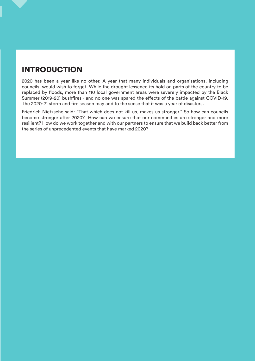# INTRODUCTION

2020 has been a year like no other. A year that many individuals and organisations, including councils, would wish to forget. While the drought lessened its hold on parts of the country to be replaced by floods, more than 110 local government areas were severely impacted by the Black Summer (2019-20) bushfires - and no one was spared the effects of the battle against COVID-19. The 2020-21 storm and fire season may add to the sense that it was a year of disasters.

Friedrich Nietzsche said: "That which does not kill us, makes us stronger." So how can councils become stronger after 2020? How can we ensure that our communities are stronger and more resilient? How do we work together and with our partners to ensure that we build back better from the series of unprecedented events that have marked 2020?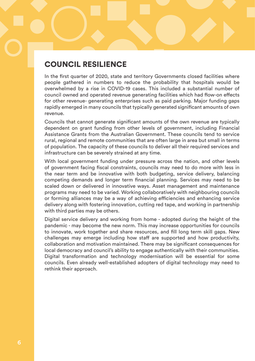# COUNCIL RESILIENCE

In the first quarter of 2020, state and territory Governments closed facilities where people gathered in numbers to reduce the probability that hospitals would be overwhelmed by a rise in COVID-19 cases. This included a substantial number of council owned and operated revenue generating facilities which had flow-on effects for other revenue- generating enterprises such as paid parking. Major funding gaps rapidly emerged in many councils that typically generated significant amounts of own revenue.

Councils that cannot generate significant amounts of the own revenue are typically dependent on grant funding from other levels of government, including Financial Assistance Grants from the Australian Government. These councils tend to service rural, regional and remote communities that are often large in area but small in terms of population. The capacity of these councils to deliver all their required services and infrastructure can be severely strained at any time.

With local government funding under pressure across the nation, and other levels of government facing fiscal constraints, councils may need to do more with less in the near term and be innovative with both budgeting, service delivery, balancing competing demands and longer term financial planning. Services may need to be scaled down or delivered in innovative ways. Asset management and maintenance programs may need to be varied. Working collaboratively with neighbouring councils or forming alliances may be a way of achieving efficiencies and enhancing service delivery along with fostering innovation, cutting red tape, and working in partnership with third parties may be others.

Digital service delivery and working from home - adopted during the height of the pandemic - may become the new norm. This may increase opportunities for councils to innovate, work together and share resources, and fill long term skill gaps. New challenges may emerge including how staff are supported and how productivity, collaboration and motivation maintained. There may be significant consequences for local democracy and council's ability to engage authentically with their communities. Digital transformation and technology modernisation will be essential for some councils. Even already well-established adopters of digital technology may need to rethink their approach.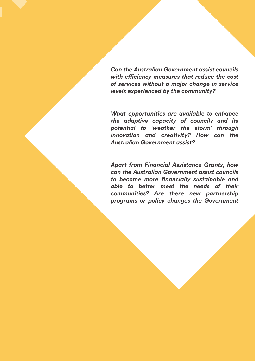*Can the Australian Government assist councils with efficiency measures that reduce the cost of services without a major change in service levels experienced by the community?*

*What opportunities are available to enhance the adaptive capacity of councils and its potential to 'weather the storm' through innovation and creativity? How can the Australian Government assist?* 

*Apart from Financial Assistance Grants, how can the Australian Government assist councils to become more financially sustainable and able to better meet the needs of their communities? Are there new partnership programs or policy changes the Government*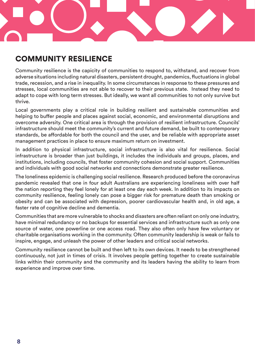

# COMMUNITY RESILIENCE

Community resilience is the capicity of communities to respond to, withstand, and recover from adverse situations including natural disasters, persistent drought, pandemics, fluctuations in global trade, recession, and a rise in inequality. In some circumstances in response to these pressures and stresses, local communities are not able to recover to their previous state. Instead they need to adapt to cope with long term stresses. But ideally, we want all communities to not only survive but thrive.

Local governments play a critical role in building resilient and sustainable communities and helping to buffer people and places against social, economic, and environmental disruptions and overcome adversity. One critical area is through the provision of resilient infrastructure. Councils' infrastructure should meet the community's current and future demand, be built to contemporary standards, be affordable for both the council and the user, and be reliable with appropriate asset management practices in place to ensure maximum return on investment.

In addition to physical infrastructure, social infrastructure is also vital for resilience. Social infrastructure is broader than just buildings, it includes the individuals and groups, places, and institutions, including councils, that foster community cohesion and social support. Communities and individuals with good social networks and connections demonstrate greater resilience.

The loneliness epidemic is challenging social resilience. Research produced before the coronavirus pandemic revealed that one in four adult Australians are experiencing loneliness with over half the nation reporting they feel lonely for at least one day each week. In addition to its impacts on community resilience, feeling lonely can pose a bigger risk for premature death than smoking or obesity and can be associated with depression, poorer cardiovascular health and, in old age, a faster rate of cognitive decline and dementia.

Communities that are more vulnerable to shocks and disasters are often reliant on only one industry, have minimal redundancy or no backups for essential services and infrastructure such as only one source of water, one powerline or one access road. They also often only have few voluntary or charitable organisations working in the community. Often community leadership is weak or fails to inspire, engage, and unleash the power of other leaders and critical social networks.

Community resilience cannot be built and then left to its own devices. It needs to be strengthened continuously, not just in times of crisis. It involves people getting together to create sustainable links within their community and the community and its leaders having the ability to learn from experience and improve over time.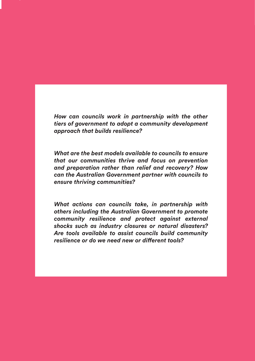*How can councils work in partnership with the other tiers of government to adopt a community development approach that builds resilience?*

*What are the best models available to councils to ensure that our communities thrive and focus on prevention and preparation rather than relief and recovery? How can the Australian Government partner with councils to ensure thriving communities?*

*What actions can councils take, in partnership with others including the Australian Government to promote community resilience and protect against external shocks such as industry closures or natural disasters? Are tools available to assist councils build community resilience or do we need new or different tools?*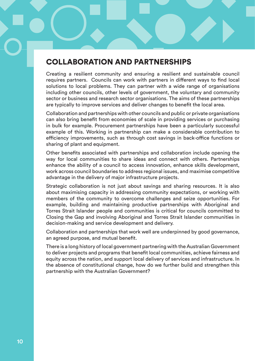# COLLABORATION AND PARTNERSHIPS

Creating a resilient community and ensuring a resilient and sustainable council requires partners. Councils can work with partners in different ways to find local solutions to local problems. They can partner with a wide range of organisations including other councils, other levels of government, the voluntary and community sector or business and research sector organisations. The aims of these partnerships are typically to improve services and deliver changes to benefit the local area.

Collaboration and partnerships with other councils and public or private organisations can also bring benefit from economies of scale in providing services or purchasing in bulk for example. Procurement partnerships have been a particularly successful example of this. Working in partnership can make a considerable contribution to efficiency improvements, such as through cost savings in back-office functions or sharing of plant and equipment.

Other benefits associated with partnerships and collaboration include opening the way for local communities to share ideas and connect with others. Partnerships enhance the ability of a council to access innovation, enhance skills development, work across council boundaries to address regional issues, and maximise competitive advantage in the delivery of major infrastructure projects.

Strategic collaboration is not just about savings and sharing resources. It is also about maximising capacity in addressing community expectations, or working with members of the community to overcome challenges and seize opportunities. For example, building and maintaining productive partnerships with Aboriginal and Torres Strait Islander people and communities is critical for councils committed to Closing the Gap and involving Aboriginal and Torres Strait Islander communities in decision-making and service development and delivery.

Collaboration and partnerships that work well are underpinned by good governance, an agreed purpose, and mutual benefit.

There is a long history of local government partnering with the Australian Government to deliver projects and programs that benefit local communities, achieve fairness and equity across the nation, and support local delivery of services and infrastructure. In the absence of constitutional change, how do we further build and strengthen this partnership with the Australian Government?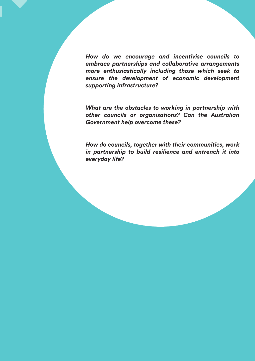*How do we encourage and incentivise councils to embrace partnerships and collaborative arrangements more enthusiastically including those which seek to ensure the development of economic development supporting infrastructure?*

*What are the obstacles to working in partnership with other councils or organisations? Can the Australian Government help overcome these?*

*How do councils, together with their communities, work in partnership to build resilience and entrench it into everyday life?*